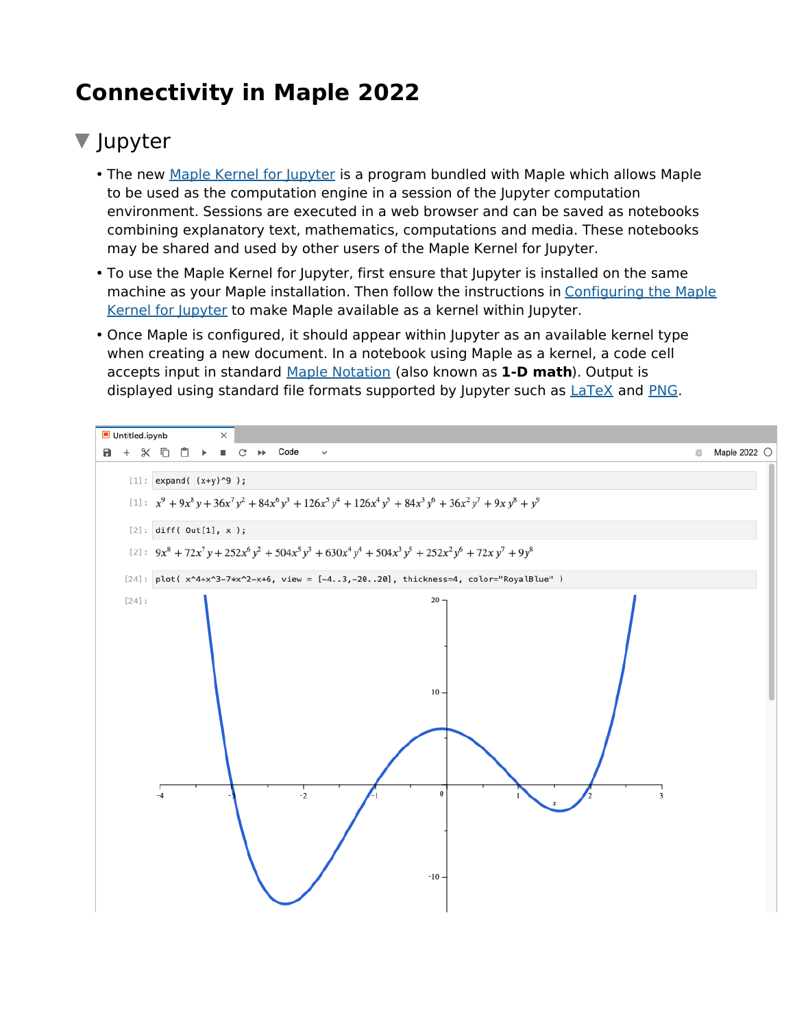# **Connectivity in Maple 2022**

## ▼ Jupyter

- The new <u>Maple Kernel for Jupyter</u> is a program bundled with Maple which allows Maple to be used as the computation engine in a session of the Jupyter computation environment. Sessions are executed in a web browser and can be saved as notebooks combining explanatory text, mathematics, computations and media. These notebooks may be shared and used by other users of the Maple Kernel for Jupyter.
- To use the Maple Kernel for Jupyter, first ensure that Jupyter is installed on the same machine as your Maple installation. Then follow the instructions in Configuring the Maple Kernel for Jupyter to make Maple available as a kernel within Jupyter.
- Once Maple is configured, it should appear within Jupyter as an available kernel type when creating a new document. In a notebook using Maple as a kernel, a code cell accepts input in standard Maple Notation (also known as **1-D math**). Output is displayed using standard file formats supported by Jupyter such as LaTeX and PNG.

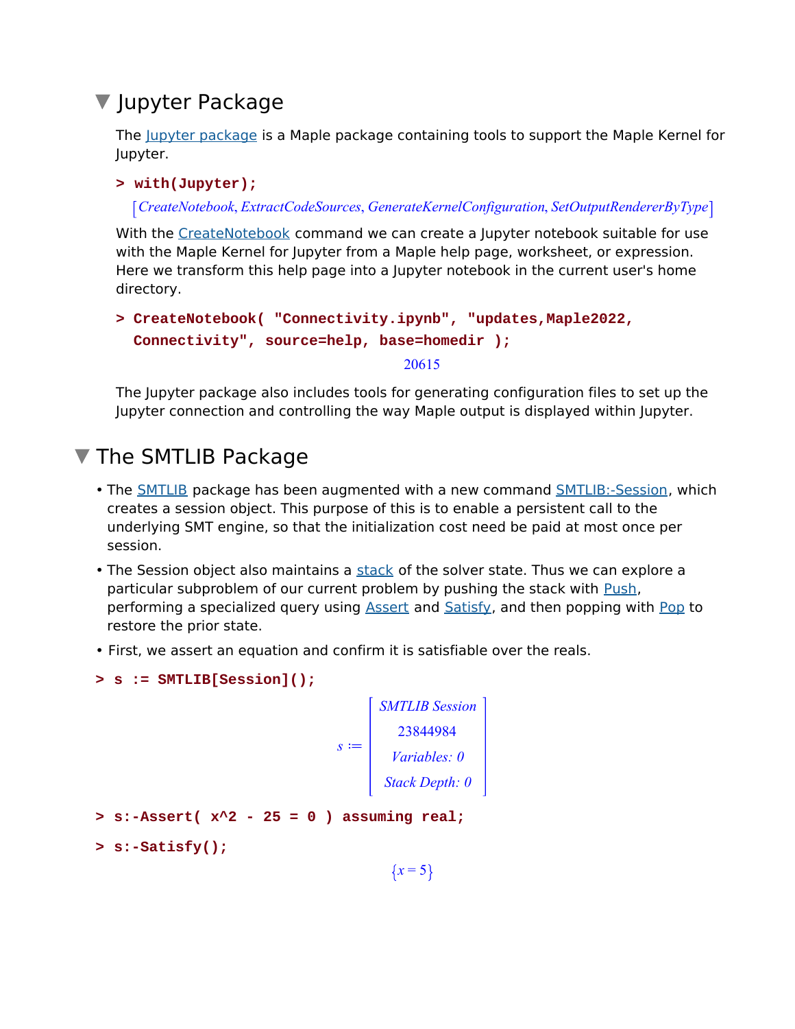## ▼ Jupyter Package

The Jupyter package is a Maple package containing tools to support the Maple Kernel for Jupyter.

### **> with(Jupyter);**

*CreateNotebook*, *ExtractCodeSources*, *GenerateKernelConfiguration*, *SetOutputRendererByType*

With the CreateNotebook command we can create a Jupyter notebook suitable for use with the Maple Kernel for Jupyter from a Maple help page, worksheet, or expression. Here we transform this help page into a Jupyter notebook in the current user's home directory.

```
CreateNotebook( "Connectivity.ipynb", "updates,Maple2022,
> 
 Connectivity", source=help, base=homedir );
                                 20615
```
The Jupyter package also includes tools for generating configuration files to set up the Jupyter connection and controlling the way Maple output is displayed within Jupyter.

## **The SMTLIB Package**

- The **SMTLIB** package has been augmented with a new command SMTLIB:-Session, which creates a session object. This purpose of this is to enable a persistent call to the underlying SMT engine, so that the initialization cost need be paid at most once per session.
- The Session object also maintains a stack of the solver state. Thus we can explore a particular subproblem of our current problem by pushing the stack with Push, performing a specialized query using **Assert and Satisfy**, and then popping with **Pop** to restore the prior state.
- First, we assert an equation and confirm it is satisfiable over the reals.

```
> s := SMTLIB[Session]();
```

```
s :=SMTLIB Session
         23844984
        Variables: 0
       Stack Depth: 0
```

```
> s:-Assert( x^2 - 25 = 0 ) assuming real;
```

```
> s:-Satisfy();
```
 ${x = 5}$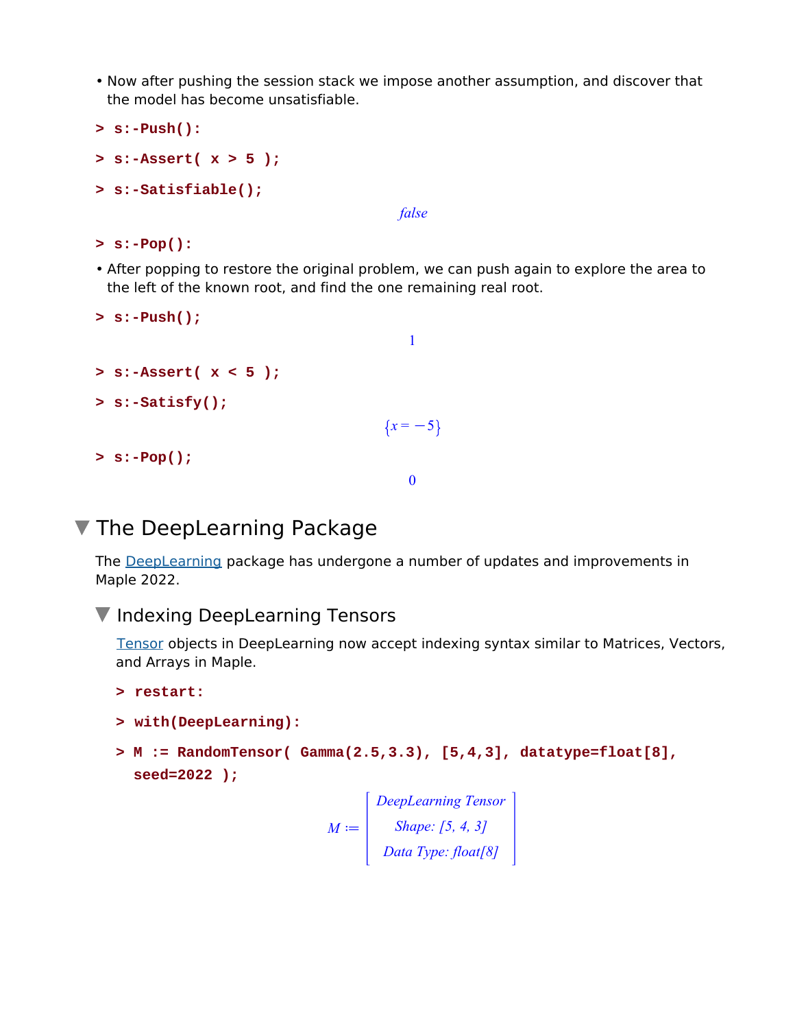- Now after pushing the session stack we impose another assumption, and discover that the model has become unsatisfiable.
- **> s:-Push():**
- **> s:-Assert( x > 5 );**
- **> s:-Satisfiable();**

*false*

- **> s:-Pop():**
- After popping to restore the original problem, we can push again to explore the area to the left of the known root, and find the one remaining real root.

```
> s:-Push();
                                       1
> s:-Assert( x < 5 );
> s:-Satisfy();
                                    \{x = -5\}> s:-Pop();
                                       0
```
### **The DeepLearning Package**

The DeepLearning package has undergone a number of updates and improvements in Maple 2022.

### **V** Indexing DeepLearning Tensors

Tensor objects in DeepLearning now accept indexing syntax similar to Matrices, Vectors, and Arrays in Maple.

```
> restart:
```

```
> with(DeepLearning):
```
**M := RandomTensor( Gamma(2.5,3.3), [5,4,3], datatype=float[8], > seed=2022 );**

> $M \coloneqq$ *DeepLearning Tensor Shape: [5, 4, 3] Data Type: float[8]*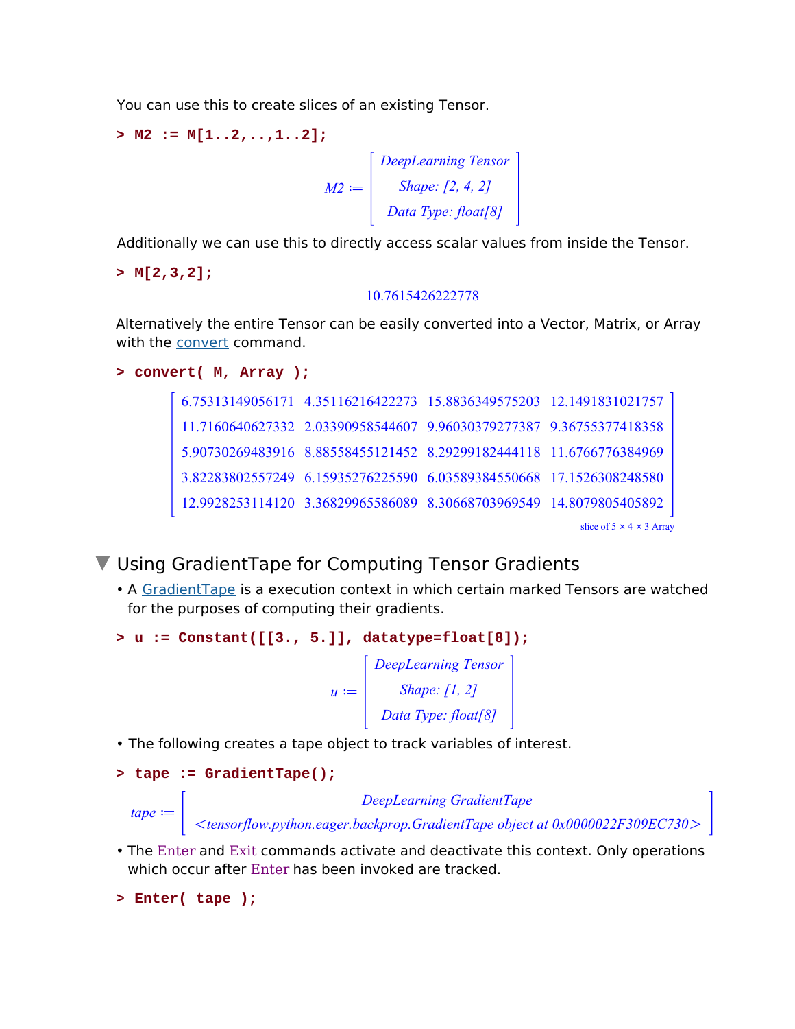You can use this to create slices of an existing Tensor.

```
> M2 := M[1..2,..,1..2];
```

```
M2 \coloneqqDeepLearning Tensor
             Shape: [2, 4, 2]
           Data Type: float[8]
```
Additionally we can use this to directly access scalar values from inside the Tensor.

**> M[2,3,2];**

#### 10.7615426222778

Alternatively the entire Tensor can be easily converted into a Vector, Matrix, or Array with the convert command.

```
> convert( M, Array );
```

|                                      |                                                                        |  | 6.75313149056171 4.35116216422273 15.8836349575203 12.1491831021757 |  |  |
|--------------------------------------|------------------------------------------------------------------------|--|---------------------------------------------------------------------|--|--|
|                                      | 11.7160640627332  2.03390958544607  9.96030379277387  9.36755377418358 |  |                                                                     |  |  |
|                                      | 5.90730269483916 8.88558455121452 8.29299182444118 11.6766776384969    |  |                                                                     |  |  |
|                                      | 3.82283802557249 6.15935276225590 6.03589384550668 17.1526308248580    |  |                                                                     |  |  |
|                                      |                                                                        |  | 12.9928253114120 3.36829965586089 8.30668703969549 14.8079805405892 |  |  |
| slice of $5 \times 4 \times 3$ Array |                                                                        |  |                                                                     |  |  |

Using GradientTape for Computing Tensor Gradients

• A GradientTape is a execution context in which certain marked Tensors are watched for the purposes of computing their gradients.

```
> u := Constant([[3., 5.]], datatype=float[8]);
```
 $u \coloneqq$ *DeepLearning Tensor Shape: [1, 2] Data Type: float[8]*

• The following creates a tape object to track variables of interest.

```
> tape := GradientTape();
```
*DeepLearning GradientTape*

!*tensorflow.python.eager.backprop.GradientTape object at 0x0000022F309EC730*<sup>O</sup>

• The Enter and Exit commands activate and deactivate this context. Only operations which occur after Enter has been invoked are tracked.

```
> Enter( tape );
```
 $\textit{tape} \coloneqq |$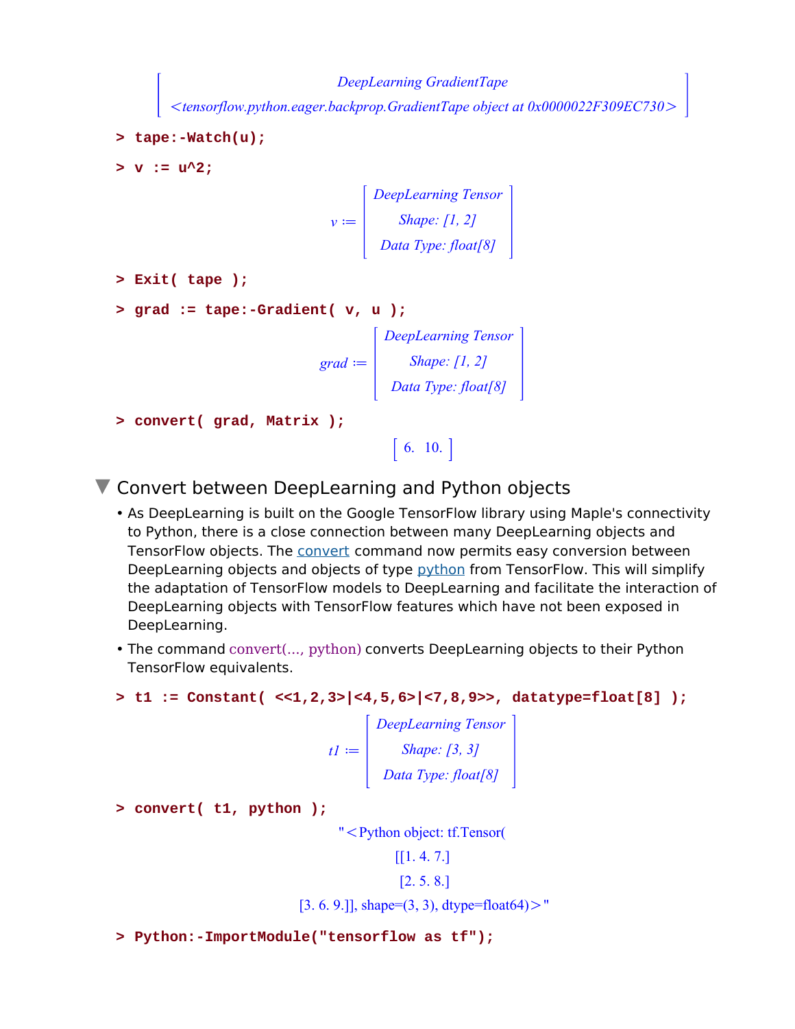*DeepLearning GradientTape*

!*tensorflow.python.eager.backprop.GradientTape object at 0x0000022F309EC730*<sup>O</sup>

```
> tape:-Watch(u);
```
 $> v := u^2$ :

$$
v := \begin{bmatrix} DeepLearning Tensor \\ Shape: [1, 2] \\ Data Type: float[8] \end{bmatrix}
$$

```
> Exit( tape );
```

```
> grad := tape:-Gradient( v, u );
```

```
grad := |DeepLearning Tensor
              Shape: [1, 2]
           Data Type: float[8]
```

```
> convert( grad, Matrix );
```

```
6. 10.
```
**V** Convert between DeepLearning and Python objects

- As DeepLearning is built on the Google TensorFlow library using Maple's connectivity to Python, there is a close connection between many DeepLearning objects and TensorFlow objects. The convert command now permits easy conversion between DeepLearning objects and objects of type python from TensorFlow. This will simplify the adaptation of TensorFlow models to DeepLearning and facilitate the interaction of DeepLearning objects with TensorFlow features which have not been exposed in DeepLearning.
- The command convert(..., python) converts DeepLearning objects to their Python TensorFlow equivalents.

**> t1 := Constant( <<1,2,3>|<4,5,6>|<7,8,9>>, datatype=float[8] );**

 $t1 \coloneqq$ *DeepLearning Tensor Shape: [3, 3] Data Type: float[8]*

**> convert( t1, python );**

" < Python object: tf.Tensor(

```
[1.4.7.] [2. 5. 8.]
```
 $[3. 6. 9.]$ ], shape= $(3, 3)$ , dtype=float $64$ ) $>$ "

**> Python:-ImportModule("tensorflow as tf");**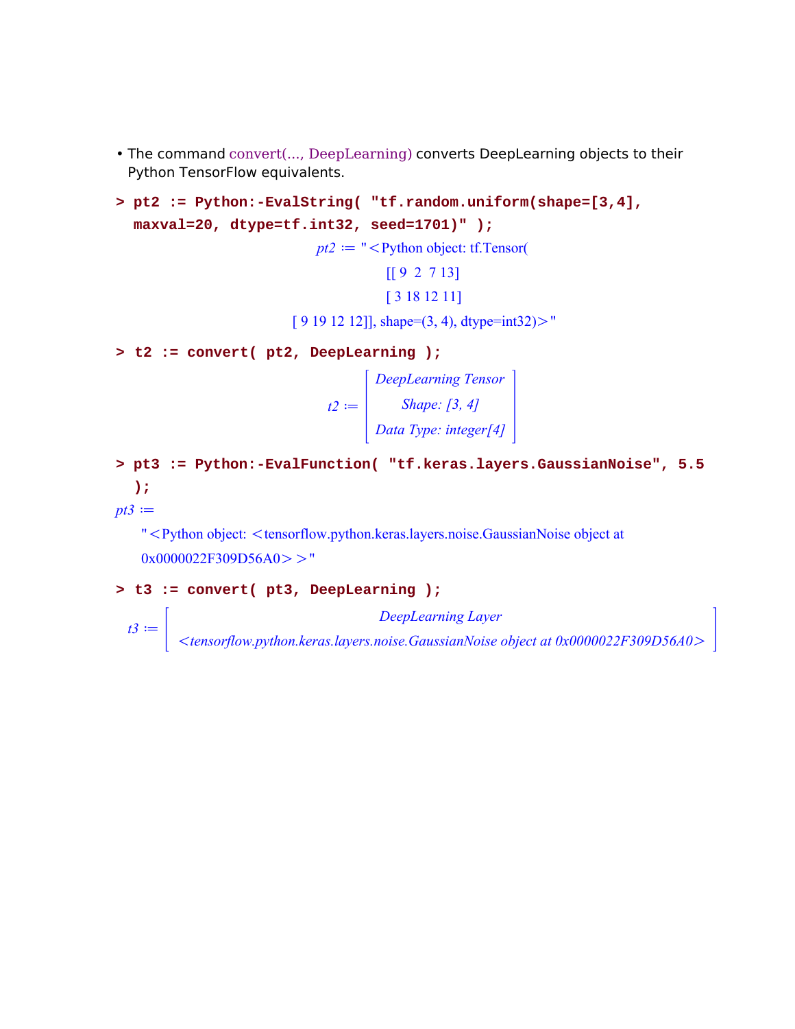- The command convert(..., DeepLearning) converts DeepLearning objects to their Python TensorFlow equivalents.
- **pt2 := Python:-EvalString( "tf.random.uniform(shape=[3,4], > maxval=20, dtype=tf.int32, seed=1701)" );**

```
pt2 := " < Python object: tf.Tensor(
```
[[ 9 2 7 13] [ 3 18 12 11]

 $[9 19 12 12]$ ], shape= $(3, 4)$ , dtype=int32) $>$ "

**> t2 := convert( pt2, DeepLearning );**

 $t2 \coloneqq$ *DeepLearning Tensor Shape: [3, 4] Data Type: integer[4]*

**pt3 := Python:-EvalFunction( "tf.keras.layers.GaussianNoise", 5.5 > );**

 $pt3 :=$ 

 $t3 \coloneqq$ 

"<Python object: <tensorflow.python.keras.layers.noise.GaussianNoise object at  $0x0000022F309D56A0 > "$ 

#### **> t3 := convert( pt3, DeepLearning );**

*DeepLearning Layer*

!*tensorflow.python.keras.layers.noise.GaussianNoise object at 0x0000022F309D56A0*O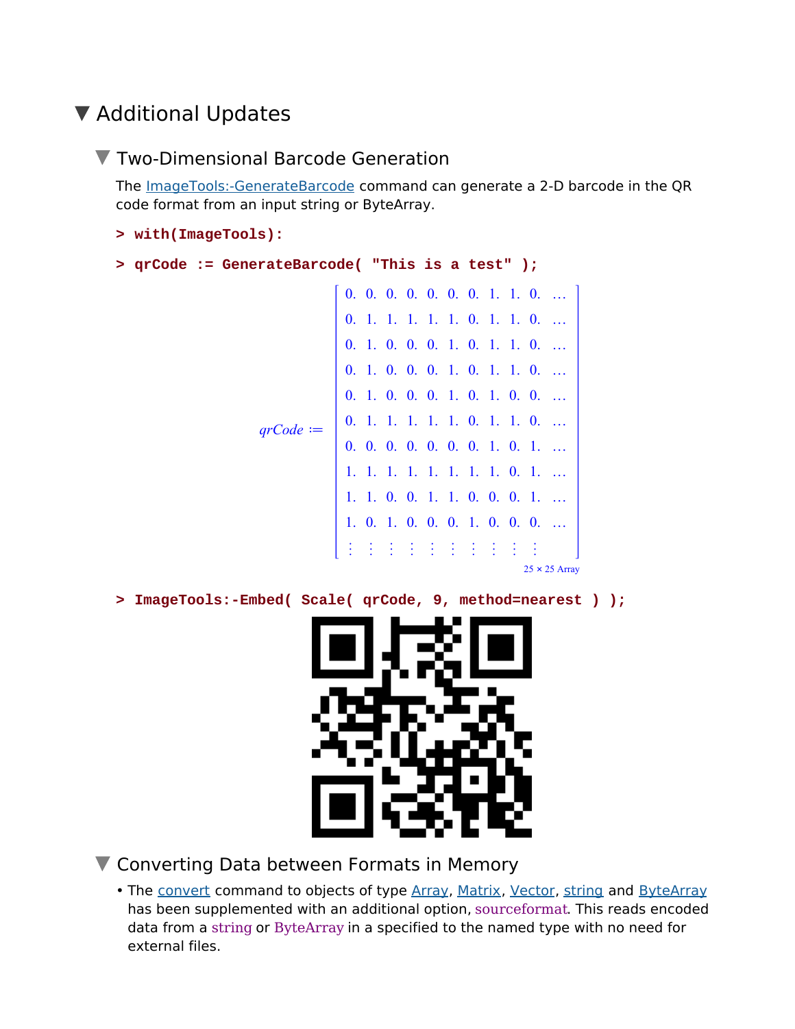## ▼ Additional Updates

### **V** Two-Dimensional Barcode Generation

The ImageTools:-GenerateBarcode command can generate a 2-D barcode in the QR code format from an input string or ByteArray.

```
> with(ImageTools):
```

```
> qrCode := GenerateBarcode( "This is a test" );
```

```
qrCode := 0. 1. 1. 1. 1. 1. 0. 1. 1. 0. …
            0. 0. 0. 0. 0. 0. 0. 1. 1. 0. …
           0. 1. 1. 1. 1. 1. 0. 1. 1. 0. …
           0. 1. 0. 0. 0. 1. 0. 1. 1. 0. …
            0. 1. 0. 0. 0. 1. 0. 1. 1. 0. …
           \begin{vmatrix} 0. & 1. & 0. & 0. & 0. & 1. & 0. & 1. & 0. & 0. & \dots \end{vmatrix}0. 0. 0. 0. 0. 0. 0. 1. 0. 1. …
             1. 1. 1. 1. 1. 1. 1. 1. 0. 1. …
             1. 1. 0. 0. 1. 1. 0. 0. 0. 1. …
             1. 0. 1. 0. 0. 0. 1. 0. 0. 0. …
             « « « « « « « « « «
                                         25 x 25 Array
```
**> ImageTools:-Embed( Scale( qrCode, 9, method=nearest ) );**



**V** Converting Data between Formats in Memory

• The convert command to objects of type Array, Matrix, Vector, string and ByteArray has been supplemented with an additional option, sourceformat. This reads encoded data from a string or ByteArray in a specified to the named type with no need for external files.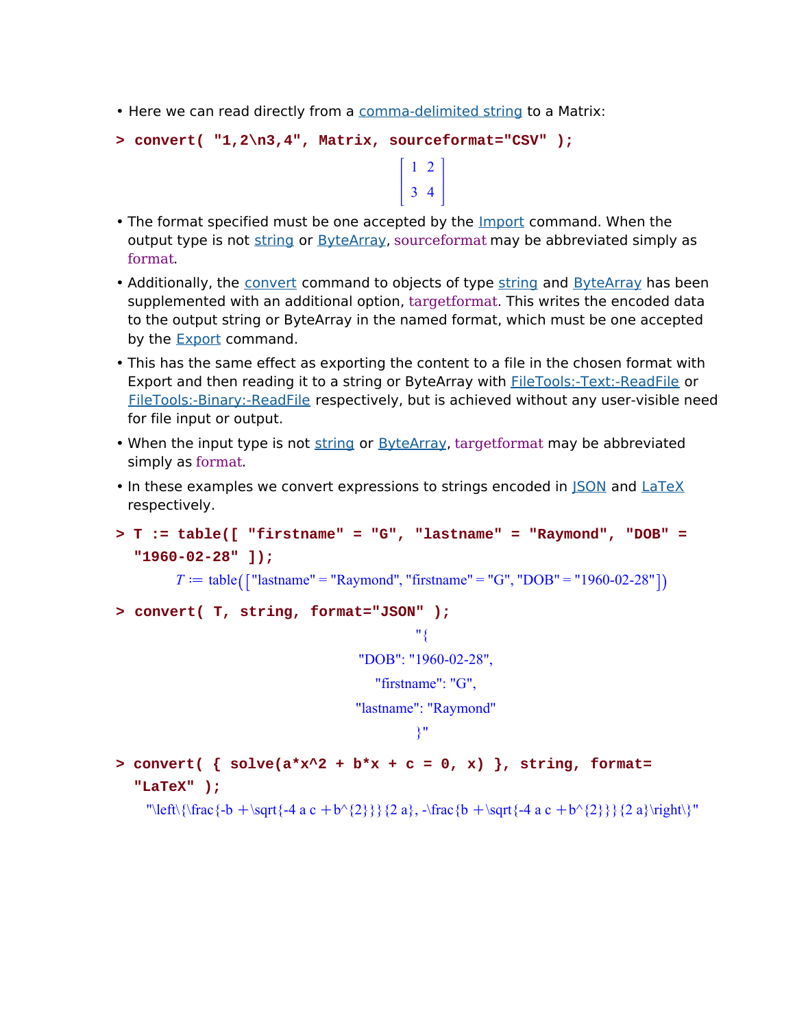• Here we can read directly from a comma-delimited string to a Matrix:

```
> convert( "1,2\n3,4", Matrix, sourceformat="CSV" );
```
• The format specified must be one accepted by the **Import command**. When the output type is not string or ByteArray, sourceformat may be abbreviated simply as format.

- Additionally, the convert command to objects of type string and ByteArray has been supplemented with an additional option, targetformat. This writes the encoded data to the output string or ByteArray in the named format, which must be one accepted by the **Export** command.
- This has the same effect as exporting the content to a file in the chosen format with Export and then reading it to a string or ByteArray with FileTools:-Text:-ReadFile or FileTools:-Binary:-ReadFile respectively, but is achieved without any user-visible need for file input or output.
- When the input type is not string or ByteArray, targetformat may be abbreviated simply as format.
- In these examples we convert expressions to strings encoded in  $\overline{\text{SON}}$  and  $\overline{\text{LaTeX}}$ respectively.
- **T := table([ "firstname" = "G", "lastname" = "Raymond", "DOB" = > "1960-02-28" ]);**

 $T :=$  table ( $\lceil$  "lastname" = "Raymond", "firstname" = "G", "DOB" = "1960-02-28"])

**> convert( T, string, format="JSON" );**

"{ "DOB": "1960-02-28",

"firstname": "G",

"lastname": "Raymond"

```
}"
```
**convert( { solve(a\*x^2 + b\*x + c = 0, x) }, string, format= > "LaTeX" );**

"\left\{\frac{-b + \sqrt{-4 a c + b^{2}}}{2 a}, -\frac{b + \sqrt{-4 a c + b^{2}}}{2 a}\right\}"